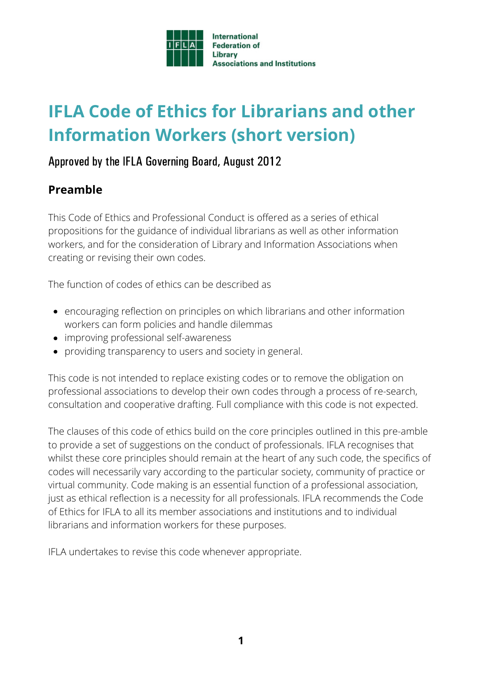

# **IFLA Code of Ethics for Librarians and other Information Workers (short version)**

# Approved by the IFLA Governing Board, August 2012

# **Preamble**

This Code of Ethics and Professional Conduct is offered as a series of ethical propositions for the guidance of individual librarians as well as other information workers, and for the consideration of Library and Information Associations when creating or revising their own codes.

The function of codes of ethics can be described as

- encouraging reflection on principles on which librarians and other information workers can form policies and handle dilemmas
- improving professional self-awareness
- providing transparency to users and society in general.

This code is not intended to replace existing codes or to remove the obligation on professional associations to develop their own codes through a process of re-search, consultation and cooperative drafting. Full compliance with this code is not expected.

The clauses of this code of ethics build on the core principles outlined in this pre-amble to provide a set of suggestions on the conduct of professionals. IFLA recognises that whilst these core principles should remain at the heart of any such code, the specifics of codes will necessarily vary according to the particular society, community of practice or virtual community. Code making is an essential function of a professional association, just as ethical reflection is a necessity for all professionals. IFLA recommends the Code of Ethics for IFLA to all its member associations and institutions and to individual librarians and information workers for these purposes.

IFLA undertakes to revise this code whenever appropriate.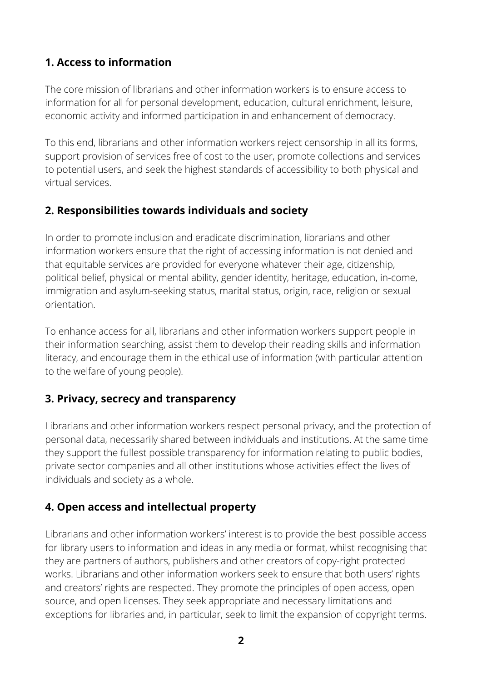# **1. Access to information**

The core mission of librarians and other information workers is to ensure access to information for all for personal development, education, cultural enrichment, leisure, economic activity and informed participation in and enhancement of democracy.

To this end, librarians and other information workers reject censorship in all its forms, support provision of services free of cost to the user, promote collections and services to potential users, and seek the highest standards of accessibility to both physical and virtual services.

#### **2. Responsibilities towards individuals and society**

In order to promote inclusion and eradicate discrimination, librarians and other information workers ensure that the right of accessing information is not denied and that equitable services are provided for everyone whatever their age, citizenship, political belief, physical or mental ability, gender identity, heritage, education, in-come, immigration and asylum-seeking status, marital status, origin, race, religion or sexual orientation.

To enhance access for all, librarians and other information workers support people in their information searching, assist them to develop their reading skills and information literacy, and encourage them in the ethical use of information (with particular attention to the welfare of young people).

#### **3. Privacy, secrecy and transparency**

Librarians and other information workers respect personal privacy, and the protection of personal data, necessarily shared between individuals and institutions. At the same time they support the fullest possible transparency for information relating to public bodies, private sector companies and all other institutions whose activities effect the lives of individuals and society as a whole.

# **4. Open access and intellectual property**

Librarians and other information workers' interest is to provide the best possible access for library users to information and ideas in any media or format, whilst recognising that they are partners of authors, publishers and other creators of copy-right protected works. Librarians and other information workers seek to ensure that both users' rights and creators' rights are respected. They promote the principles of open access, open source, and open licenses. They seek appropriate and necessary limitations and exceptions for libraries and, in particular, seek to limit the expansion of copyright terms.